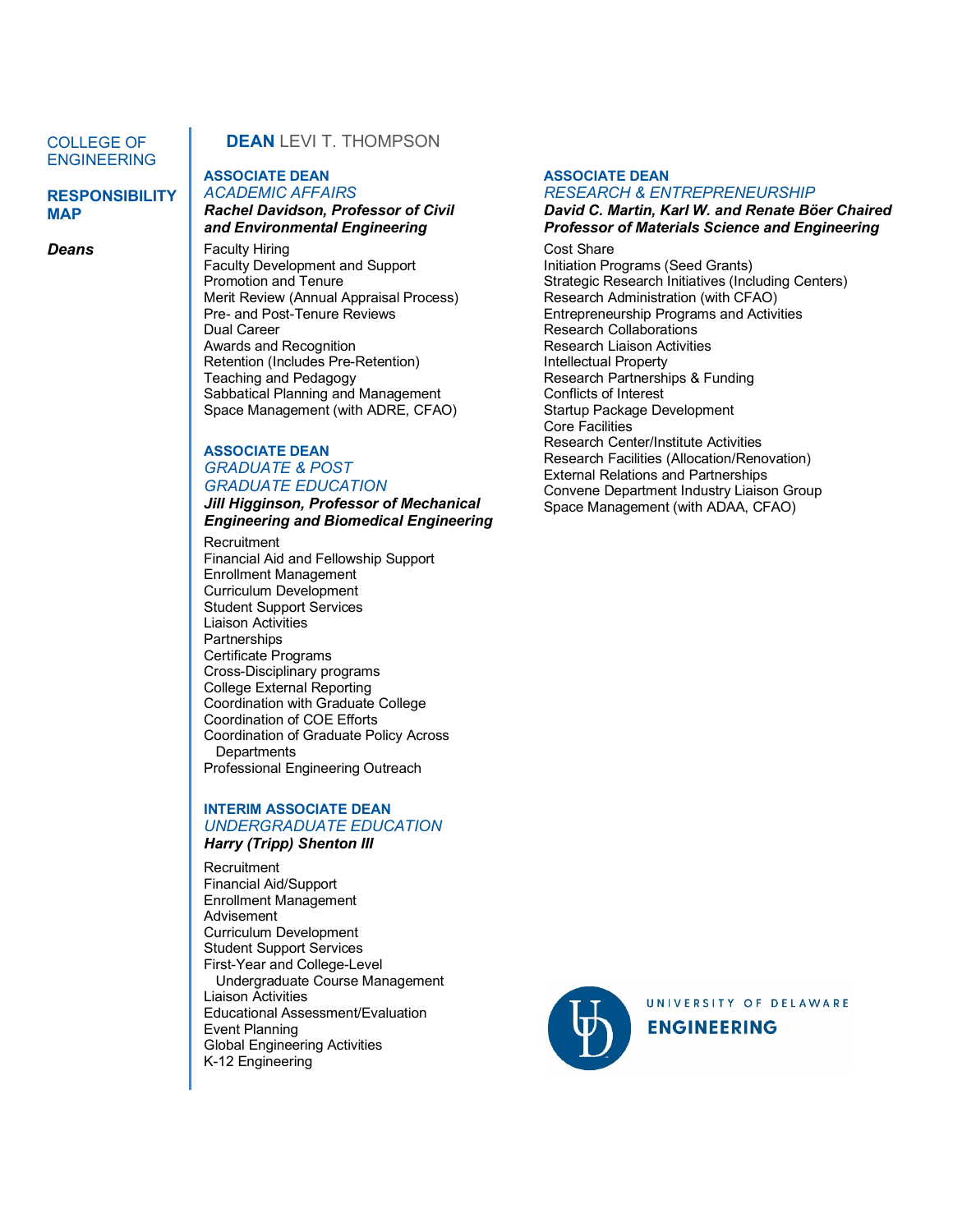## COLLEGE OF ENGINEERING

# **RESPONSIBILITY MAP**

*Deans*

# **DEAN** LEVIT THOMPSON

## **ASSOCIATE DEAN** *ACADEMIC AFFAIRS Rachel Davidson, Professor of Civil and Environmental Engineering*

Faculty Hiring Faculty Development and Support Promotion and Tenure Merit Review (Annual Appraisal Process) Pre- and Post-Tenure Reviews Dual Career Awards and Recognition Retention (Includes Pre-Retention) Teaching and Pedagogy Sabbatical Planning and Management Space Management (with ADRE, CFAO)

# **ASSOCIATE DEAN** *GRADUATE & POST GRADUATE EDUCATION*

*Jill Higginson, Professor of Mechanical Engineering and Biomedical Engineering*

**Recruitment** Financial Aid and Fellowship Support Enrollment Management Curriculum Development Student Support Services Liaison Activities **Partnerships** Certificate Programs Cross-Disciplinary programs College External Reporting Coordination with Graduate College Coordination of COE Efforts Coordination of Graduate Policy Across **Departments** Professional Engineering Outreach

# **INTERIM ASSOCIATE DEAN** *UNDERGRADUATE EDUCATION*

## *Harry (Tripp) Shenton III*

**Recruitment** Financial Aid/Support Enrollment Management Advisement Curriculum Development Student Support Services First-Year and College-Level Undergraduate Course Management Liaison Activities Educational Assessment/Evaluation Event Planning Global Engineering Activities K-12 Engineering

#### **ASSOCIATE DEAN**

#### *RESEARCH & ENTREPRENEURSHIP David C. Martin, Karl W. and Renate Böer Chaired Professor of Materials Science and Engineering*

Cost Share Initiation Programs (Seed Grants) Strategic Research Initiatives (Including Centers) Research Administration (with CFAO) Entrepreneurship Programs and Activities Research Collaborations Research Liaison Activities Intellectual Property Research Partnerships & Funding Conflicts of Interest Startup Package Development Core Facilities Research Center/Institute Activities Research Facilities (Allocation/Renovation) External Relations and Partnerships Convene Department Industry Liaison Group Space Management (with ADAA, CFAO)